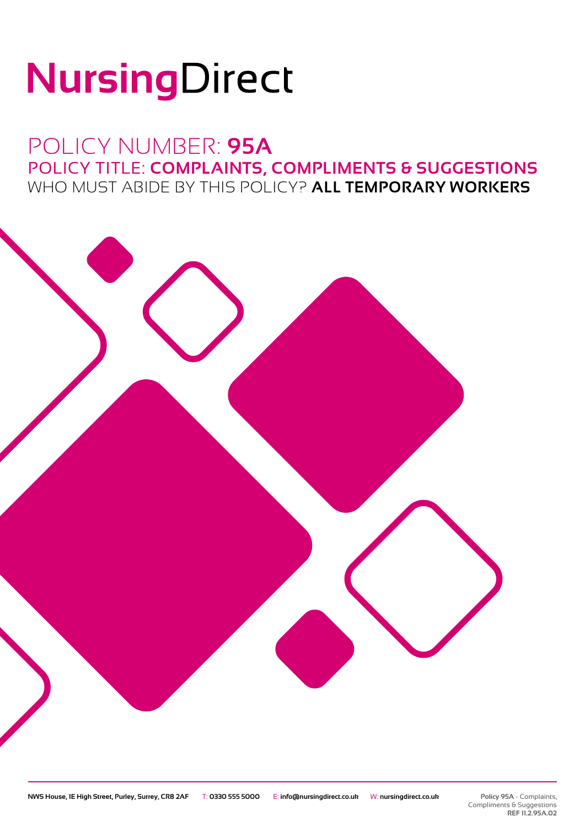# NursingDirect

## POLICY NUMBER: **95A** POLICY TITLE: **COMPLAINTS, COMPLIMENTS & SUGGESTIONS** WHO MUST ABIDE BY THIS POLICY? **ALL TEMPORARY WORKERS**

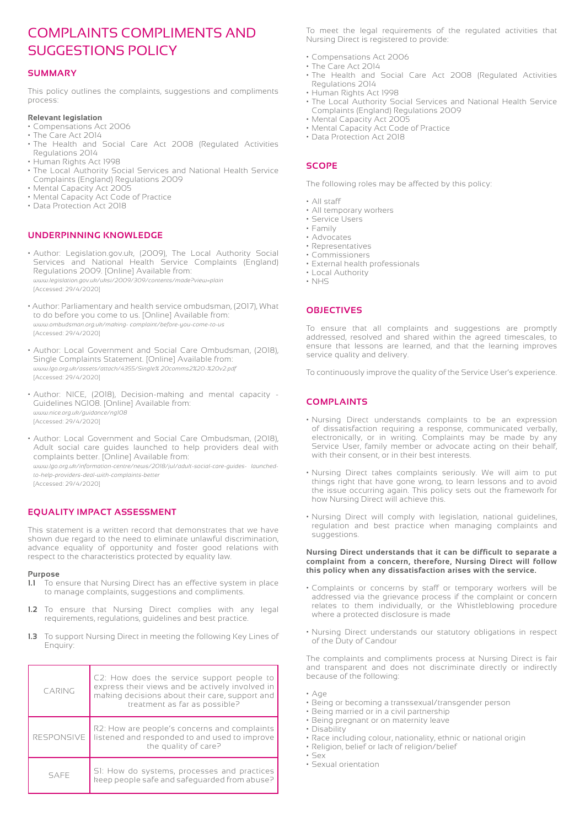### COMPLAINTS COMPLIMENTS AND SUGGESTIONS POLICY

#### **SUMMARY**

This policy outlines the complaints, suggestions and compliments process:

#### **Relevant legislation**

- Compensations Act 2006
- The Care Act 2014
- The Health and Social Care Act 2008 (Regulated Activities Regulations 2014
- Human Rights Act 1998
- The Local Authority Social Services and National Health Service Complaints (England) Regulations 2009
- Mental Capacity Act 2005
- Mental Capacity Act Code of Practice
- Data Protection Act 2018

#### **UNDERPINNING KNOWLEDGE**

- Author: Legislation.gov.uk, (2009), The Local Authority Social Services and National Health Service Complaints (England) Regulations 2009. [Online] Available from: *www.legislation.gov.uk/uksi/2009/309/contents/made?view=plain* [Accessed: 29/4/2020]
- Author: Parliamentary and health service ombudsman, (2017), What to do before you come to us. [Online] Available from: *www.ombudsman.org.uk/making- complaint/before-you-come-to-us* [Accessed: 29/4/2020]
- Author: Local Government and Social Care Ombudsman, (2018), Single Complaints Statement. [Online] Available from: *www.lgo.org.uk/assets/attach/4355/Single% 20comms2%20-%20v2.pdf* [Accessed: 29/4/2020]
- Author: NICE, (2018), Decision-making and mental capacity Guidelines NG108. [Online] Available from: *www.nice.org.uk/guidance/ng108* [Accessed: 29/4/2020]
- Author: Local Government and Social Care Ombudsman, (2018), Adult social care guides launched to help providers deal with complaints better. [Online] Available from:

*www.lgo.org.uk/information-centre/news/2018/jul/adult-social-care-guides- launchedto-help-providers-deal-with-complaints-better* [Accessed: 29/4/2020]

#### **EQUALITY IMPACT ASSESSMENT**

This statement is a written record that demonstrates that we have shown due regard to the need to eliminate unlawful discrimination, advance equality of opportunity and foster good relations with respect to the characteristics protected by equality law.

#### **Purpose**

- **1.1** To ensure that Nursing Direct has an effective system in place to manage complaints, suggestions and compliments.
- **1.2** To ensure that Nursing Direct complies with any legal requirements, regulations, guidelines and best practice.
- **1.3** To support Nursing Direct in meeting the following Key Lines of Enquiry:

| CARING            | C2: How does the service support people to<br>express their views and be actively involved in<br>making decisions about their care, support and<br>treatment as far as possible? |
|-------------------|----------------------------------------------------------------------------------------------------------------------------------------------------------------------------------|
| <b>RESPONSIVE</b> | R2: How are people's concerns and complaints<br>listened and responded to and used to improve<br>the quality of care?                                                            |
| SAFF              | SI: How do systems, processes and practices<br>keep people safe and safequarded from abuse?                                                                                      |

To meet the legal requirements of the regulated activities that Nursing Direct is registered to provide:

- Compensations Act 2006
- The Care Act 2014
- The Health and Social Care Act 2008 (Regulated Activities Regulations 2014
- Human Rights Act 1998
- The Local Authority Social Services and National Health Service Complaints (England) Regulations 2009
- Mental Capacity Act 2005
- Mental Capacity Act Code of Practice
- Data Protection Act 2018

#### **SCOPE**

The following roles may be affected by this policy:

- All staff
- All temporary workers
- Service Users
- Family
- Advocates • Representatives
- Commissioners
- External health professionals
- Local Authority
- NHS

#### **OBJECTIVES**

To ensure that all complaints and suggestions are promptly addressed, resolved and shared within the agreed timescales, to ensure that lessons are learned, and that the learning improves service quality and delivery.

To continuously improve the quality of the Service User's experience.

#### **COMPLAINTS**

- Nursing Direct understands complaints to be an expression of dissatisfaction requiring a response, communicated verbally, electronically, or in writing. Complaints may be made by any Service User, family member or advocate acting on their behalf, with their consent, or in their best interests.
- Nursing Direct takes complaints seriously. We will aim to put things right that have gone wrong, to learn lessons and to avoid the issue occurring again. This policy sets out the framework for how Nursing Direct will achieve this.
- Nursing Direct will comply with legislation, national guidelines, regulation and best practice when managing complaints and suggestions.

#### **Nursing Direct understands that it can be difficult to separate a complaint from a concern, therefore, Nursing Direct will follow this policy when any dissatisfaction arises with the service.**

- Complaints or concerns by staff or temporary workers will be addressed via the grievance process if the complaint or concern relates to them individually, or the Whistleblowing procedure where a protected disclosure is made
- Nursing Direct understands our statutory obligations in respect of the Duty of Candour

The complaints and compliments process at Nursing Direct is fair and transparent and does not discriminate directly or indirectly because of the following:

- Age
- Being or becoming a transsexual/transgender person
- Being married or in a civil partnership
- Being pregnant or on maternity leave
- Disability
- Race including colour, nationality, ethnic or national origin
- Religion, belief or lack of religion/belief • Sex
- Sexual orientation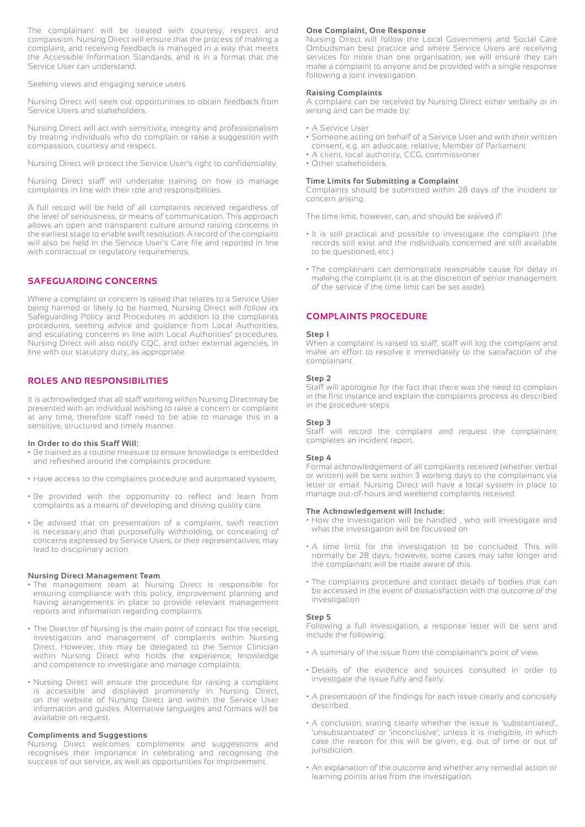The complainant will be treated with courtesy, respect and compassion. Nursing Direct will ensure that the process of making a complaint, and receiving feedback is managed in a way that meets the Accessible Information Standards, and is in a format that the Service User can understand.

Seeking views and engaging service users

Nursing Direct will seek out opportunities to obtain feedback from Service Users and stakeholders.

Nursing Direct will act with sensitivity, integrity and professionalism by treating individuals who do complain or raise a suggestion with compassion, courtesy and respect.

Nursing Direct will protect the Service User's right to confidentiality.

Nursing Direct staff will undertake training on how to manage complaints in line with their role and responsibilities.

A full record will be held of all complaints received regardless of the level of seriousness, or means of communication. This approach allows an open and transparent culture around raising concerns in the earliest stage to enable swift resolution. A record of the complaint will also be held in the Service User's Care file and reported in line with contractual or regulatory requirements.

#### **SAFEGUARDING CONCERNS**

Where a complaint or concern is raised that relates to a Service User being harmed or likely to be harmed, Nursing Direct will follow its Safeguarding Policy and Procedures in addition to the complaints procedures, seeking advice and guidance from Local Authorities, and escalating concerns in line with Local Authorities' procedures. Nursing Direct will also notify CQC, and other external agencies, in line with our statutory duty, as appropriate.

#### **ROLES AND RESPONSIBILITIES**

It is acknowledged that all staff working within Nursing Directmay be presented with an individual wishing to raise a concern or complaint at any time, therefore staff need to be able to manage this in a sensitive, structured and timely manner.

#### **In Order to do this Staff Will:**

- Be trained as a routine measure to ensure knowledge is embedded and refreshed around the complaints procedure.
- Have access to the complaints procedure and automated system.
- Be provided with the opportunity to reflect and learn from complaints as a means of developing and driving quality care.
- Be advised that on presentation of a complaint, swift reaction is necessary;and that purposefully withholding, or concealing of concerns expressed by Service Users, or their representatives, may lead to disciplinary action.

#### **Nursing Direct Management Team**

- The management team at Nursing Direct is responsible for ensuring compliance with this policy, improvement planning and having arrangements in place to provide relevant management reports and information regarding complaints.
- The Director of Nursing is the main point of contact for the receipt, investigation and management of complaints within Nursing Direct. However, this may be delegated to the Senior Clinician within Nursing Direct who holds the experience, knowledge and competence to investigate and manage complaints.
- Nursing Direct will ensure the procedure for raising a complaint is accessible and displayed prominently in Nursing Direct, on the website of Nursing Direct and within the Service User information and guides. Alternative languages and formats will be available on request.

#### **Compliments and Suggestions**

Nursing Direct welcomes compliments and suggestions and recognises their importance in celebrating and recognising the success of our service, as well as opportunities for improvement.

#### **One Complaint, One Response**

Nursing Direct will follow the Local Government and Social Care Ombudsman best practice and where Service Users are receiving services for more than one organisation, we will ensure they can make a complaint to anyone and be provided with a single response following a joint investigation.

#### **Raising Complaints**

A complaint can be received by Nursing Direct either verbally or in writing and can be made by:

- A Service User
- Someone acting on behalf of a Service User and with their written consent, e.g. an advocate, relative, Member of Parliament
- A client, local authority, CCG, commissioner
- Other stakeholders

#### **Time Limits for Submitting a Complaint**

Complaints should be submitted within 28 days of the incident or concern arising.

The time limit, however, can, and should be waived if:

- It is still practical and possible to investigate the complaint (the records still exist and the individuals concerned are still available to be questioned, etc.)
- The complainant can demonstrate reasonable cause for delay in making the complaint (it is at the discretion of senior management of the service if the time limit can be set aside).

#### **COMPLAINTS PROCEDURE**

#### **Step 1**

When a complaint is raised to staff, staff will log the complaint and make an effort to resolve it immediately to the satisfaction of the complainant.

#### **Step 2**

Staff will apologise for the fact that there was the need to complain in the first instance and explain the complaints process as described in the procedure steps.

#### **Step 3**

Staff will record the complaint and request the complainant completes an incident report.

#### **Step 4**

Formal acknowledgement of all complaints received (whether verbal or written) will be sent within 3 working days to the complainant via letter or email. Nursing Direct will have a local system in place to manage out-of-hours and weekend complaints received.

#### **The Acknowledgement will Include:**

- How the investigation will be handled , who will investigate and what the investigation will be focussed on
- A time limit for the investigation to be concluded. This will normally be 28 days; however, some cases may take longer and the complainant will be made aware of this
- The complaints procedure and contact details of bodies that can be accessed in the event of dissatisfaction with the outcome of the investigation

#### **Step 5**

Following a full investigation, a response letter will be sent and include the following:

- A summary of the issue from the complainant's point of view.
- Details of the evidence and sources consulted in order to investigate the issue fully and fairly.
- A presentation of the findings for each issue clearly and concisely described.
- A conclusion, stating clearly whether the issue is 'substantiated', 'unsubstantiated' or 'inconclusive', unless it is ineligible, in which case the reason for this will be given, e.g. out of time or out of jurisdiction.
- An explanation of the outcome and whether any remedial action or learning points arise from the investigation.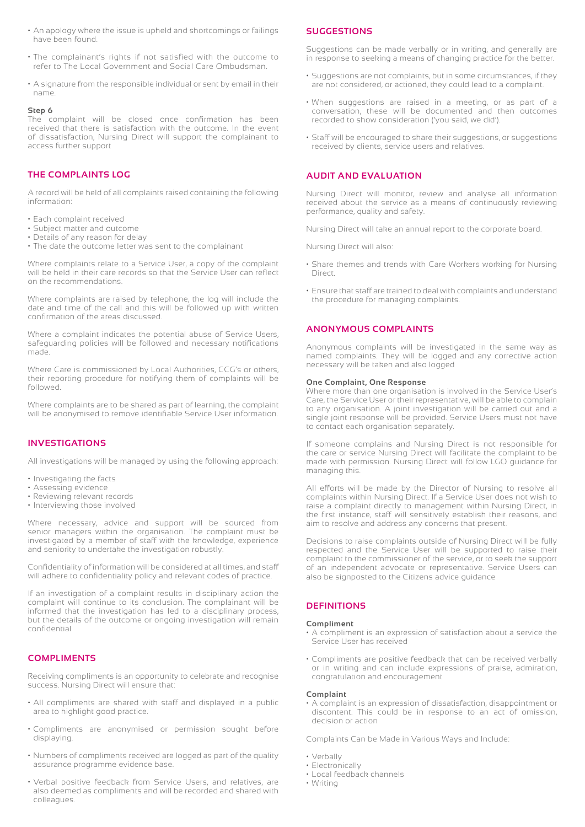- An apology where the issue is upheld and shortcomings or failings have been found.
- The complainant's rights if not satisfied with the outcome to refer to The Local Government and Social Care Ombudsman.
- A signature from the responsible individual or sent by email in their name.

#### **Step 6**

The complaint will be closed once confirmation has been received that there is satisfaction with the outcome. In the event of dissatisfaction, Nursing Direct will support the complainant to access further support

#### **THE COMPLAINTS LOG**

A record will be held of all complaints raised containing the following information:

- Each complaint received
- Subject matter and outcome
- Details of any reason for delay • The date the outcome letter was sent to the complainant

Where complaints relate to a Service User, a copy of the complaint will be held in their care records so that the Service User can reflect on the recommendations.

Where complaints are raised by telephone, the log will include the date and time of the call and this will be followed up with written confirmation of the areas discussed.

Where a complaint indicates the potential abuse of Service Users, safeguarding policies will be followed and necessary notifications made.

Where Care is commissioned by Local Authorities, CCG's or others, their reporting procedure for notifying them of complaints will be followed.

Where complaints are to be shared as part of learning, the complaint will be anonymised to remove identifiable Service User information.

#### **INVESTIGATIONS**

All investigations will be managed by using the following approach:

- Investigating the facts
- Assessing evidence
- Reviewing relevant records
- Interviewing those involved

Where necessary, advice and support will be sourced from senior managers within the organisation. The complaint must be investigated by a member of staff with the knowledge, experience and seniority to undertake the investigation robustly.

Confidentiality of information will be considered at all times, and staff will adhere to confidentiality policy and relevant codes of practice.

If an investigation of a complaint results in disciplinary action the complaint will continue to its conclusion. The complainant will be informed that the investigation has led to a disciplinary process, but the details of the outcome or ongoing investigation will remain confidential

#### **COMPLIMENTS**

Receiving compliments is an opportunity to celebrate and recognise success. Nursing Direct will ensure that:

- All compliments are shared with staff and displayed in a public area to highlight good practice.
- Compliments are anonymised or permission sought before displaying.
- Numbers of compliments received are logged as part of the quality assurance programme evidence base.
- Verbal positive feedback from Service Users, and relatives, are also deemed as compliments and will be recorded and shared with colleagues.

#### **SUGGESTIONS**

Suggestions can be made verbally or in writing, and generally are in response to seeking a means of changing practice for the better.

- Suggestions are not complaints, but in some circumstances, if they are not considered, or actioned, they could lead to a complaint.
- When suggestions are raised in a meeting, or as part of a conversation, these will be documented and then outcomes recorded to show consideration ('you said, we did').
- Staff will be encouraged to share their suggestions, or suggestions received by clients, service users and relatives.

#### **AUDIT AND EVALUATION**

Nursing Direct will monitor, review and analyse all information received about the service as a means of continuously reviewing performance, quality and safety.

Nursing Direct will take an annual report to the corporate board.

Nursing Direct will also:

- Share themes and trends with Care Workers working for Nursing Direct.
- Ensure that staff are trained to deal with complaints and understand the procedure for managing complaints.

#### **ANONYMOUS COMPLAINTS**

Anonymous complaints will be investigated in the same way as named complaints. They will be logged and any corrective action necessary will be taken and also logged

#### **One Complaint, One Response**

Where more than one organisation is involved in the Service User's Care, the Service User or their representative, will be able to complain to any organisation. A joint investigation will be carried out and a single joint response will be provided. Service Users must not have to contact each organisation separately.

If someone complains and Nursing Direct is not responsible for the care or service Nursing Direct will facilitate the complaint to be made with permission. Nursing Direct will follow LGO guidance for managing this.

All efforts will be made by the Director of Nursing to resolve all complaints within Nursing Direct. If a Service User does not wish to raise a complaint directly to management within Nursing Direct, in the first instance, staff will sensitively establish their reasons, and aim to resolve and address any concerns that present.

Decisions to raise complaints outside of Nursing Direct will be fully respected and the Service User will be supported to raise their complaint to the commissioner of the service, or to seek the support of an independent advocate or representative. Service Users can also be signposted to the Citizens advice guidance

#### **DEFINITIONS**

#### **Compliment**

- A compliment is an expression of satisfaction about a service the Service User has received
- Compliments are positive feedback that can be received verbally or in writing and can include expressions of praise, admiration, congratulation and encouragement

#### **Complaint**

• A complaint is an expression of dissatisfaction, disappointment or discontent. This could be in response to an act of omission, decision or action

Complaints Can be Made in Various Ways and Include:

- Verbally
- Electronically
- Local feedback channels
- Writing